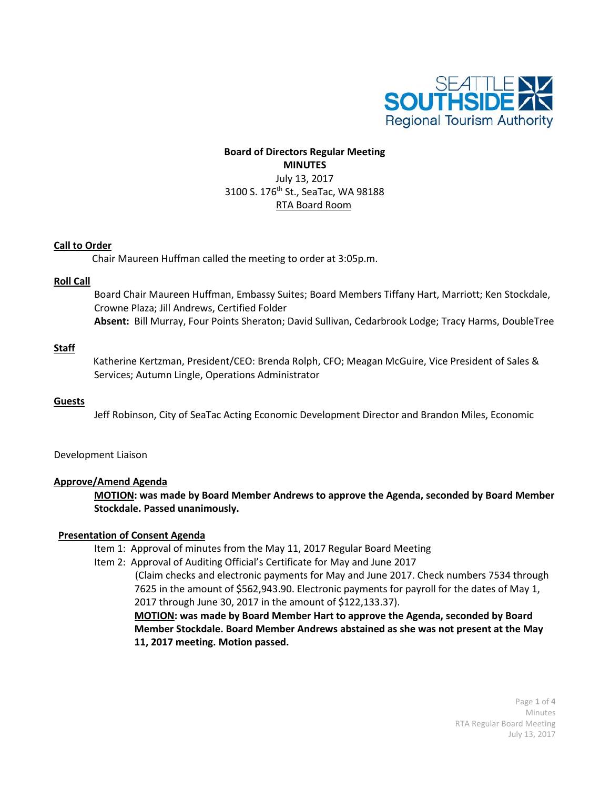

# **Board of Directors Regular Meeting MINUTES** July 13, 2017 3100 S. 176<sup>th</sup> St., SeaTac, WA 98188 RTA Board Room

## **Call to Order**

Chair Maureen Huffman called the meeting to order at 3:05p.m.

## **Roll Call**

Board Chair Maureen Huffman, Embassy Suites; Board Members Tiffany Hart, Marriott; Ken Stockdale, Crowne Plaza; Jill Andrews, Certified Folder **Absent:** Bill Murray, Four Points Sheraton; David Sullivan, Cedarbrook Lodge; Tracy Harms, DoubleTree

## **Staff**

Katherine Kertzman, President/CEO: Brenda Rolph, CFO; Meagan McGuire, Vice President of Sales & Services; Autumn Lingle, Operations Administrator

## **Guests**

Jeff Robinson, City of SeaTac Acting Economic Development Director and Brandon Miles, Economic

## Development Liaison

## **Approve/Amend Agenda**

**MOTION: was made by Board Member Andrews to approve the Agenda, seconded by Board Member Stockdale. Passed unanimously.**

## **Presentation of Consent Agenda**

- Item 1: Approval of minutes from the May 11, 2017 Regular Board Meeting
- Item 2: Approval of Auditing Official's Certificate for May and June 2017

 (Claim checks and electronic payments for May and June 2017. Check numbers 7534 through 7625 in the amount of \$562,943.90. Electronic payments for payroll for the dates of May 1, 2017 through June 30, 2017 in the amount of \$122,133.37).

**MOTION: was made by Board Member Hart to approve the Agenda, seconded by Board Member Stockdale. Board Member Andrews abstained as she was not present at the May 11, 2017 meeting. Motion passed.**

> Page **1** of **4** Minutes RTA Regular Board Meeting July 13, 2017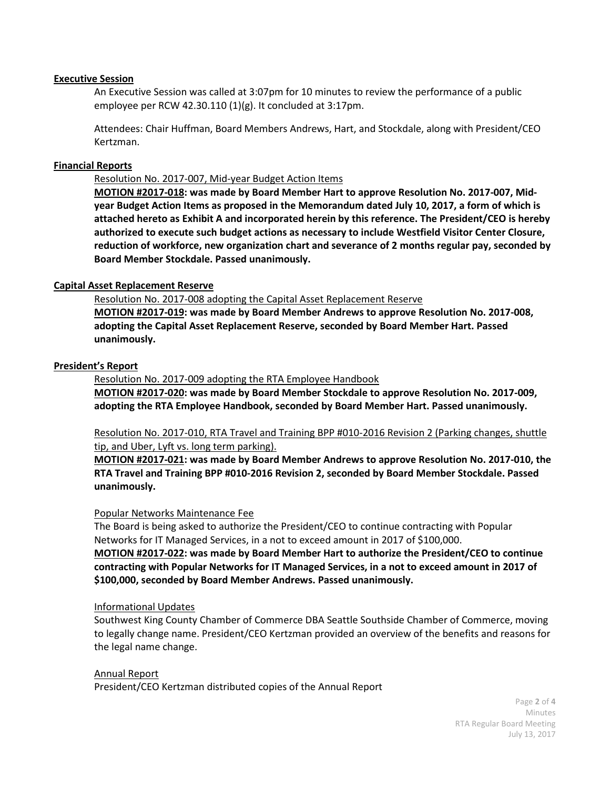## **Executive Session**

An Executive Session was called at 3:07pm for 10 minutes to review the performance of a public employee per RCW 42.30.110 (1)(g). It concluded at 3:17pm.

Attendees: Chair Huffman, Board Members Andrews, Hart, and Stockdale, along with President/CEO Kertzman.

## **Financial Reports**

Resolution No. 2017-007, Mid-year Budget Action Items

**MOTION #2017-018: was made by Board Member Hart to approve Resolution No. 2017-007, Midyear Budget Action Items as proposed in the Memorandum dated July 10, 2017, a form of which is attached hereto as Exhibit A and incorporated herein by this reference. The President/CEO is hereby authorized to execute such budget actions as necessary to include Westfield Visitor Center Closure, reduction of workforce, new organization chart and severance of 2 months regular pay, seconded by Board Member Stockdale. Passed unanimously.**

## **Capital Asset Replacement Reserve**

Resolution No. 2017-008 adopting the Capital Asset Replacement Reserve

**MOTION #2017-019: was made by Board Member Andrews to approve Resolution No. 2017-008, adopting the Capital Asset Replacement Reserve, seconded by Board Member Hart. Passed unanimously.**

## **President's Report**

Resolution No. 2017-009 adopting the RTA Employee Handbook

**MOTION #2017-020: was made by Board Member Stockdale to approve Resolution No. 2017-009, adopting the RTA Employee Handbook, seconded by Board Member Hart. Passed unanimously.**

Resolution No. 2017-010, RTA Travel and Training BPP #010-2016 Revision 2 (Parking changes, shuttle tip, and Uber, Lyft vs. long term parking).

**MOTION #2017-021: was made by Board Member Andrews to approve Resolution No. 2017-010, the RTA Travel and Training BPP #010-2016 Revision 2, seconded by Board Member Stockdale. Passed unanimously.**

#### Popular Networks Maintenance Fee

The Board is being asked to authorize the President/CEO to continue contracting with Popular Networks for IT Managed Services, in a not to exceed amount in 2017 of \$100,000.

**MOTION #2017-022: was made by Board Member Hart to authorize the President/CEO to continue contracting with Popular Networks for IT Managed Services, in a not to exceed amount in 2017 of \$100,000, seconded by Board Member Andrews. Passed unanimously.**

#### Informational Updates

Southwest King County Chamber of Commerce DBA Seattle Southside Chamber of Commerce, moving to legally change name. President/CEO Kertzman provided an overview of the benefits and reasons for the legal name change.

Annual Report President/CEO Kertzman distributed copies of the Annual Report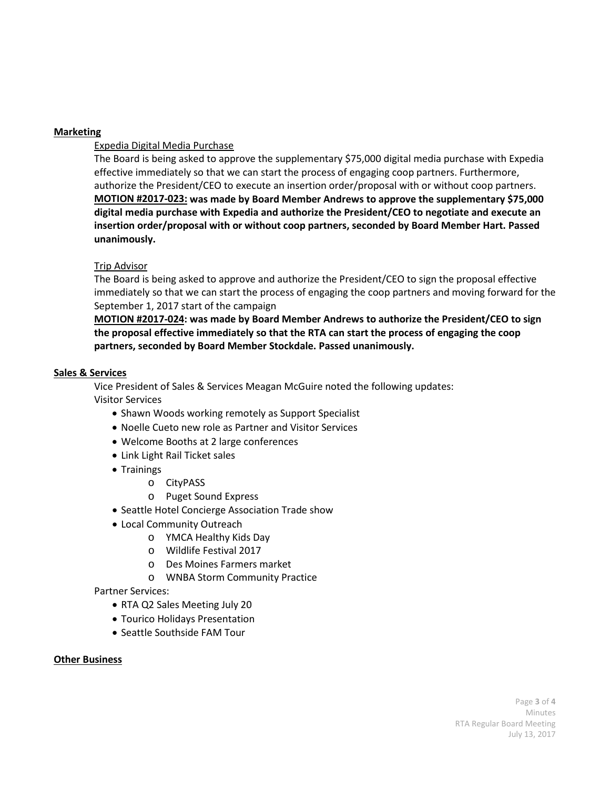## **Marketing**

## Expedia Digital Media Purchase

The Board is being asked to approve the supplementary \$75,000 digital media purchase with Expedia effective immediately so that we can start the process of engaging coop partners. Furthermore, authorize the President/CEO to execute an insertion order/proposal with or without coop partners. **MOTION #2017-023: was made by Board Member Andrews to approve the supplementary \$75,000 digital media purchase with Expedia and authorize the President/CEO to negotiate and execute an insertion order/proposal with or without coop partners, seconded by Board Member Hart. Passed unanimously.**

## Trip Advisor

The Board is being asked to approve and authorize the President/CEO to sign the proposal effective immediately so that we can start the process of engaging the coop partners and moving forward for the September 1, 2017 start of the campaign

**MOTION #2017-024: was made by Board Member Andrews to authorize the President/CEO to sign the proposal effective immediately so that the RTA can start the process of engaging the coop partners, seconded by Board Member Stockdale. Passed unanimously.**

## **Sales & Services**

Vice President of Sales & Services Meagan McGuire noted the following updates: Visitor Services

- Shawn Woods working remotely as Support Specialist
- Noelle Cueto new role as Partner and Visitor Services
- Welcome Booths at 2 large conferences
- Link Light Rail Ticket sales
- Trainings
	- o CityPASS
	- o Puget Sound Express
- Seattle Hotel Concierge Association Trade show
- Local Community Outreach
	- o YMCA Healthy Kids Day
	- o Wildlife Festival 2017
	- o Des Moines Farmers market
	- o WNBA Storm Community Practice

## Partner Services:

- RTA Q2 Sales Meeting July 20
- Tourico Holidays Presentation
- Seattle Southside FAM Tour

## **Other Business**

Page **3** of **4** Minutes RTA Regular Board Meeting July 13, 2017